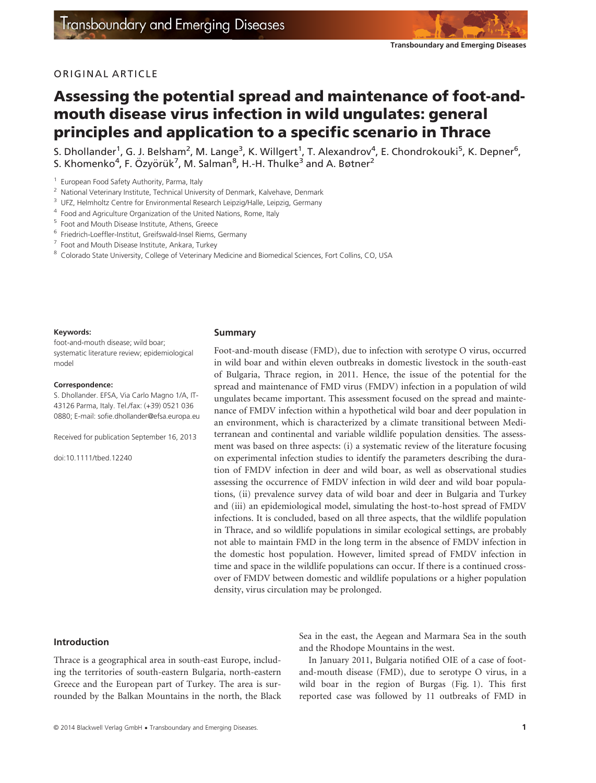

# ORIGINAL ARTICLE

# Assessing the potential spread and maintenance of foot-andmouth disease virus infection in wild ungulates: general principles and application to a specific scenario in Thrace

S. Dhollander $^1$ , G. J. Belsham $^2$ , M. Lange $^3$ , K. Willgert $^1$ , T. Alexandrov $^4$ , E. Chondrokouki $^5$ , K. Depner $^6$ , S. Khomenko $^4$ , F. Özyörük $^7$ , M. Salman $^8$ , H.-H. Thulke $^3$  and A. Bøtner $^2$ 

- <sup>2</sup> National Veterinary Institute, Technical University of Denmark, Kalvehave, Denmark
- <sup>3</sup> UFZ, Helmholtz Centre for Environmental Research Leipzig/Halle, Leipzig, Germany
- <sup>4</sup> Food and Agriculture Organization of the United Nations, Rome, Italy
- <sup>5</sup> Foot and Mouth Disease Institute, Athens, Greece
- <sup>6</sup> Friedrich-Loeffler-Institut, Greifswald-Insel Riems, Germany
- <sup>7</sup> Foot and Mouth Disease Institute, Ankara, Turkey
- <sup>8</sup> Colorado State University, College of Veterinary Medicine and Biomedical Sciences, Fort Collins, CO, USA

#### Keywords:

foot-and-mouth disease; wild boar; systematic literature review; epidemiological model

#### Correspondence:

S. Dhollander. EFSA, Via Carlo Magno 1/A, IT-43126 Parma, Italy. Tel./fax: (+39) 0521 036 0880; E-mail: sofie.dhollander@efsa.europa.eu

Received for publication September 16, 2013

doi:10.1111/tbed.12240

#### Summary

Foot-and-mouth disease (FMD), due to infection with serotype O virus, occurred in wild boar and within eleven outbreaks in domestic livestock in the south-east of Bulgaria, Thrace region, in 2011. Hence, the issue of the potential for the spread and maintenance of FMD virus (FMDV) infection in a population of wild ungulates became important. This assessment focused on the spread and maintenance of FMDV infection within a hypothetical wild boar and deer population in an environment, which is characterized by a climate transitional between Mediterranean and continental and variable wildlife population densities. The assessment was based on three aspects: (i) a systematic review of the literature focusing on experimental infection studies to identify the parameters describing the duration of FMDV infection in deer and wild boar, as well as observational studies assessing the occurrence of FMDV infection in wild deer and wild boar populations, (ii) prevalence survey data of wild boar and deer in Bulgaria and Turkey and (iii) an epidemiological model, simulating the host-to-host spread of FMDV infections. It is concluded, based on all three aspects, that the wildlife population in Thrace, and so wildlife populations in similar ecological settings, are probably not able to maintain FMD in the long term in the absence of FMDV infection in the domestic host population. However, limited spread of FMDV infection in time and space in the wildlife populations can occur. If there is a continued crossover of FMDV between domestic and wildlife populations or a higher population density, virus circulation may be prolonged.

## Introduction

Thrace is a geographical area in south-east Europe, including the territories of south-eastern Bulgaria, north-eastern Greece and the European part of Turkey. The area is surrounded by the Balkan Mountains in the north, the Black Sea in the east, the Aegean and Marmara Sea in the south and the Rhodope Mountains in the west.

In January 2011, Bulgaria notified OIE of a case of footand-mouth disease (FMD), due to serotype O virus, in a wild boar in the region of Burgas (Fig. 1). This first reported case was followed by 11 outbreaks of FMD in

<sup>1</sup> European Food Safety Authority, Parma, Italy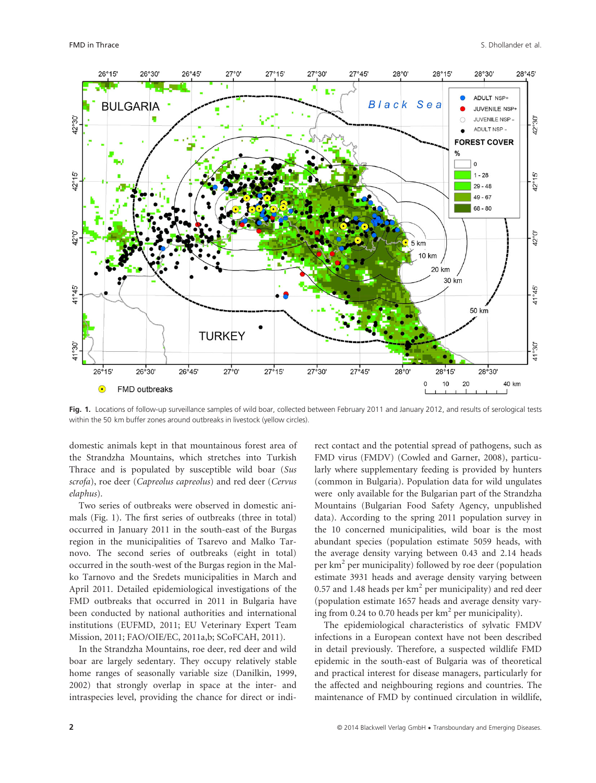

Fig. 1. Locations of follow-up surveillance samples of wild boar, collected between February 2011 and January 2012, and results of serological tests within the 50 km buffer zones around outbreaks in livestock (yellow circles).

domestic animals kept in that mountainous forest area of the Strandzha Mountains, which stretches into Turkish Thrace and is populated by susceptible wild boar (Sus scrofa), roe deer (Capreolus capreolus) and red deer (Cervus elaphus).

Two series of outbreaks were observed in domestic animals (Fig. 1). The first series of outbreaks (three in total) occurred in January 2011 in the south-east of the Burgas region in the municipalities of Tsarevo and Malko Tarnovo. The second series of outbreaks (eight in total) occurred in the south-west of the Burgas region in the Malko Tarnovo and the Sredets municipalities in March and April 2011. Detailed epidemiological investigations of the FMD outbreaks that occurred in 2011 in Bulgaria have been conducted by national authorities and international institutions (EUFMD, 2011; EU Veterinary Expert Team Mission, 2011; FAO/OIE/EC, 2011a,b; SCoFCAH, 2011).

In the Strandzha Mountains, roe deer, red deer and wild boar are largely sedentary. They occupy relatively stable home ranges of seasonally variable size (Danilkin, 1999, 2002) that strongly overlap in space at the inter- and intraspecies level, providing the chance for direct or indirect contact and the potential spread of pathogens, such as FMD virus (FMDV) (Cowled and Garner, 2008), particularly where supplementary feeding is provided by hunters (common in Bulgaria). Population data for wild ungulates were only available for the Bulgarian part of the Strandzha Mountains (Bulgarian Food Safety Agency, unpublished data). According to the spring 2011 population survey in the 10 concerned municipalities, wild boar is the most abundant species (population estimate 5059 heads, with the average density varying between 0.43 and 2.14 heads per km<sup>2</sup> per municipality) followed by roe deer (population estimate 3931 heads and average density varying between 0.57 and 1.48 heads per  $km<sup>2</sup>$  per municipality) and red deer (population estimate 1657 heads and average density varying from 0.24 to 0.70 heads per  $km^2$  per municipality).

The epidemiological characteristics of sylvatic FMDV infections in a European context have not been described in detail previously. Therefore, a suspected wildlife FMD epidemic in the south-east of Bulgaria was of theoretical and practical interest for disease managers, particularly for the affected and neighbouring regions and countries. The maintenance of FMD by continued circulation in wildlife,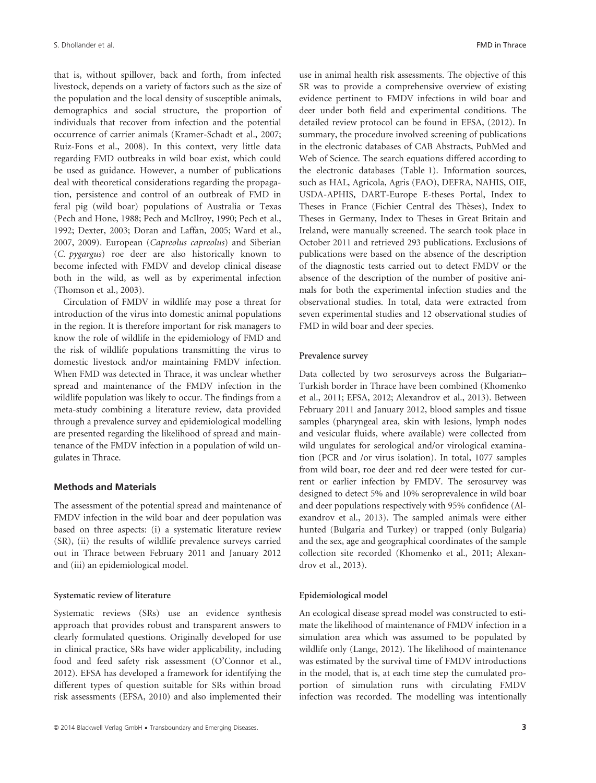that is, without spillover, back and forth, from infected livestock, depends on a variety of factors such as the size of the population and the local density of susceptible animals, demographics and social structure, the proportion of individuals that recover from infection and the potential occurrence of carrier animals (Kramer-Schadt et al., 2007; Ruiz-Fons et al., 2008). In this context, very little data regarding FMD outbreaks in wild boar exist, which could be used as guidance. However, a number of publications deal with theoretical considerations regarding the propagation, persistence and control of an outbreak of FMD in feral pig (wild boar) populations of Australia or Texas (Pech and Hone, 1988; Pech and McIlroy, 1990; Pech et al., 1992; Dexter, 2003; Doran and Laffan, 2005; Ward et al., 2007, 2009). European (Capreolus capreolus) and Siberian (C. pygargus) roe deer are also historically known to become infected with FMDV and develop clinical disease both in the wild, as well as by experimental infection (Thomson et al., 2003).

Circulation of FMDV in wildlife may pose a threat for introduction of the virus into domestic animal populations in the region. It is therefore important for risk managers to know the role of wildlife in the epidemiology of FMD and the risk of wildlife populations transmitting the virus to domestic livestock and/or maintaining FMDV infection. When FMD was detected in Thrace, it was unclear whether spread and maintenance of the FMDV infection in the wildlife population was likely to occur. The findings from a meta-study combining a literature review, data provided through a prevalence survey and epidemiological modelling are presented regarding the likelihood of spread and maintenance of the FMDV infection in a population of wild ungulates in Thrace.

### Methods and Materials

The assessment of the potential spread and maintenance of FMDV infection in the wild boar and deer population was based on three aspects: (i) a systematic literature review (SR), (ii) the results of wildlife prevalence surveys carried out in Thrace between February 2011 and January 2012 and (iii) an epidemiological model.

#### Systematic review of literature

Systematic reviews (SRs) use an evidence synthesis approach that provides robust and transparent answers to clearly formulated questions. Originally developed for use in clinical practice, SRs have wider applicability, including food and feed safety risk assessment (O'Connor et al., 2012). EFSA has developed a framework for identifying the different types of question suitable for SRs within broad risk assessments (EFSA, 2010) and also implemented their

use in animal health risk assessments. The objective of this SR was to provide a comprehensive overview of existing evidence pertinent to FMDV infections in wild boar and deer under both field and experimental conditions. The detailed review protocol can be found in EFSA, (2012). In summary, the procedure involved screening of publications in the electronic databases of CAB Abstracts, PubMed and Web of Science. The search equations differed according to the electronic databases (Table 1). Information sources, such as HAL, Agricola, Agris (FAO), DEFRA, NAHIS, OIE, USDA-APHIS, DART-Europe E-theses Portal, Index to Theses in France (Fichier Central des Thèses), Index to Theses in Germany, Index to Theses in Great Britain and Ireland, were manually screened. The search took place in October 2011 and retrieved 293 publications. Exclusions of publications were based on the absence of the description of the diagnostic tests carried out to detect FMDV or the absence of the description of the number of positive animals for both the experimental infection studies and the observational studies. In total, data were extracted from seven experimental studies and 12 observational studies of FMD in wild boar and deer species.

#### Prevalence survey

Data collected by two serosurveys across the Bulgarian– Turkish border in Thrace have been combined (Khomenko et al., 2011; EFSA, 2012; Alexandrov et al., 2013). Between February 2011 and January 2012, blood samples and tissue samples (pharyngeal area, skin with lesions, lymph nodes and vesicular fluids, where available) were collected from wild ungulates for serological and/or virological examination (PCR and /or virus isolation). In total, 1077 samples from wild boar, roe deer and red deer were tested for current or earlier infection by FMDV. The serosurvey was designed to detect 5% and 10% seroprevalence in wild boar and deer populations respectively with 95% confidence (Alexandrov et al., 2013). The sampled animals were either hunted (Bulgaria and Turkey) or trapped (only Bulgaria) and the sex, age and geographical coordinates of the sample collection site recorded (Khomenko et al., 2011; Alexandrov et al., 2013).

#### Epidemiological model

An ecological disease spread model was constructed to estimate the likelihood of maintenance of FMDV infection in a simulation area which was assumed to be populated by wildlife only (Lange, 2012). The likelihood of maintenance was estimated by the survival time of FMDV introductions in the model, that is, at each time step the cumulated proportion of simulation runs with circulating FMDV infection was recorded. The modelling was intentionally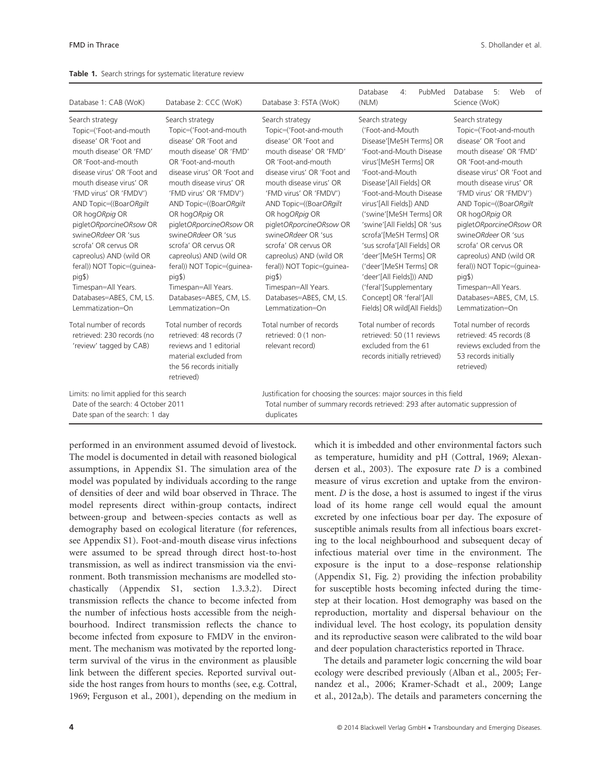| Database 1: CAB (WoK)                                                                                                                                                                                                                                                                                                                                                                                                                                                 | Database 2: CCC (WoK)                                                                                                                                                                                                                                                                                                                                                                                                                                                  | Database 3: FSTA (WoK)                                                                                                                                                                                                                                                                                                                                                                                                                                                 | Database<br>4:<br>PubMed<br>(NLM)                                                                                                                                                                                                                                                                                                                                                                                                                                                                              | 5:<br>of<br>Database<br>Web<br>Science (WoK)                                                                                                                                                                                                                                                                                                                                                                                                       |  |  |
|-----------------------------------------------------------------------------------------------------------------------------------------------------------------------------------------------------------------------------------------------------------------------------------------------------------------------------------------------------------------------------------------------------------------------------------------------------------------------|------------------------------------------------------------------------------------------------------------------------------------------------------------------------------------------------------------------------------------------------------------------------------------------------------------------------------------------------------------------------------------------------------------------------------------------------------------------------|------------------------------------------------------------------------------------------------------------------------------------------------------------------------------------------------------------------------------------------------------------------------------------------------------------------------------------------------------------------------------------------------------------------------------------------------------------------------|----------------------------------------------------------------------------------------------------------------------------------------------------------------------------------------------------------------------------------------------------------------------------------------------------------------------------------------------------------------------------------------------------------------------------------------------------------------------------------------------------------------|----------------------------------------------------------------------------------------------------------------------------------------------------------------------------------------------------------------------------------------------------------------------------------------------------------------------------------------------------------------------------------------------------------------------------------------------------|--|--|
| Search strategy<br>Topic=('Foot-and-mouth<br>disease' OR 'Foot and<br>mouth disease' OR 'FMD'<br>OR 'Foot-and-mouth<br>disease virus' OR 'Foot and<br>mouth disease virus' OR<br>'FMD virus' OR 'FMDV')<br>AND Topic=((BoarORgilt<br>OR hogORpig OR<br>pigletORporcineORsow OR<br>swineORdeer OR 'sus<br>scrofa' OR cervus OR<br>capreolus) AND (wild OR<br>feral)) NOT Topic=(guinea-<br>piq\$<br>Timespan=All Years.<br>Databases=ABES, CM, LS.<br>Lemmatization=On | Search strategy<br>Topic=('Foot-and-mouth<br>disease' OR 'Foot and<br>mouth disease' OR 'FMD'<br>OR 'Foot-and-mouth<br>disease virus' OR 'Foot and<br>mouth disease virus' OR<br>'FMD virus' OR 'FMDV')<br>AND Topic=((BoarORgilt<br>OR hogORpig OR<br>pigletORporcineORsow OR<br>swineORdeer OR 'sus<br>scrofa' OR cervus OR<br>capreolus) AND (wild OR<br>feral)) NOT Topic=(guinea-<br>pig\$)<br>Timespan=All Years.<br>Databases=ABES, CM, LS.<br>Lemmatization=On | Search strategy<br>Topic=('Foot-and-mouth<br>disease' OR 'Foot and<br>mouth disease' OR 'FMD'<br>OR 'Foot-and-mouth<br>disease virus' OR 'Foot and<br>mouth disease virus' OR<br>'FMD virus' OR 'FMDV')<br>AND Topic=((BoarORgilt<br>OR hogORpig OR<br>pigletORporcineORsow OR<br>swineORdeer OR 'sus<br>scrofa' OR cervus OR<br>capreolus) AND (wild OR<br>feral)) NOT Topic=(guinea-<br>pig\$)<br>Timespan=All Years.<br>Databases=ABES, CM, LS.<br>Lemmatization=On | Search strategy<br>('Foot-and-Mouth<br>Disease'[MeSH Terms] OR<br>'Foot-and-Mouth Disease<br>virus' [MeSH Terms] OR<br>'Foot-and-Mouth<br>Disease'[All Fields] OR<br>'Foot-and-Mouth Disease<br>virus'[All Fields]) AND<br>('swine'[MeSH Terms] OR<br>'swine'[All Fields] OR 'sus<br>scrofa'[MeSH Terms] OR<br>'sus scrofa'[All Fields] OR<br>'deer'[MeSH Terms] OR<br>('deer'[MeSH Terms] OR<br>'deer'[All Fields])) AND<br>('feral'[Supplementary<br>Concept] OR 'feral'[All<br>Fields] OR wild[All Fields]) | Search strategy<br>Topic=('Foot-and-mouth<br>disease' OR 'Foot and<br>mouth disease' OR 'FMD'<br>OR 'Foot-and-mouth<br>disease virus' OR 'Foot and<br>mouth disease virus' OR<br>'FMD virus' OR 'FMDV')<br>AND Topic=((BoarORgilt<br>OR hogORpig OR<br>pigletORporcineORsow OR<br>swineORdeer OR 'sus<br>scrofa' OR cervus OR<br>capreolus) AND (wild OR<br>feral)) NOT Topic=(guinea-<br>pig\$)<br>Timespan=All Years.<br>Databases=ABES, CM, LS. |  |  |
| Total number of records<br>Total number of records<br>retrieved: 230 records (no<br>retrieved: 48 records (7<br>'review' tagged by CAB)<br>reviews and 1 editorial<br>material excluded from<br>the 56 records initially<br>retrieved)                                                                                                                                                                                                                                |                                                                                                                                                                                                                                                                                                                                                                                                                                                                        | Total number of records<br>retrieved: 0 (1 non-<br>relevant record)                                                                                                                                                                                                                                                                                                                                                                                                    | Total number of records<br>retrieved: 50 (11 reviews<br>excluded from the 61<br>records initially retrieved)                                                                                                                                                                                                                                                                                                                                                                                                   | Total number of records<br>retrieved: 45 records (8<br>reviews excluded from the<br>53 records initially<br>retrieved)                                                                                                                                                                                                                                                                                                                             |  |  |
| Limits: no limit applied for this search<br>Date of the search: 4 October 2011<br>Date span of the search: 1 day                                                                                                                                                                                                                                                                                                                                                      |                                                                                                                                                                                                                                                                                                                                                                                                                                                                        | Justification for choosing the sources: major sources in this field<br>Total number of summary records retrieved: 293 after automatic suppression of<br>duplicates                                                                                                                                                                                                                                                                                                     |                                                                                                                                                                                                                                                                                                                                                                                                                                                                                                                |                                                                                                                                                                                                                                                                                                                                                                                                                                                    |  |  |

|  |  |  |  | Table 1. Search strings for systematic literature review |  |  |
|--|--|--|--|----------------------------------------------------------|--|--|
|--|--|--|--|----------------------------------------------------------|--|--|

performed in an environment assumed devoid of livestock. The model is documented in detail with reasoned biological assumptions, in Appendix S1. The simulation area of the model was populated by individuals according to the range of densities of deer and wild boar observed in Thrace. The model represents direct within-group contacts, indirect between-group and between-species contacts as well as demography based on ecological literature (for references, see Appendix S1). Foot-and-mouth disease virus infections were assumed to be spread through direct host-to-host transmission, as well as indirect transmission via the environment. Both transmission mechanisms are modelled stochastically (Appendix S1, section 1.3.3.2). Direct transmission reflects the chance to become infected from the number of infectious hosts accessible from the neighbourhood. Indirect transmission reflects the chance to become infected from exposure to FMDV in the environment. The mechanism was motivated by the reported longterm survival of the virus in the environment as plausible link between the different species. Reported survival outside the host ranges from hours to months (see, e.g. Cottral, 1969; Ferguson et al., 2001), depending on the medium in which it is imbedded and other environmental factors such as temperature, humidity and pH (Cottral, 1969; Alexandersen et al., 2003). The exposure rate D is a combined measure of virus excretion and uptake from the environment. D is the dose, a host is assumed to ingest if the virus load of its home range cell would equal the amount excreted by one infectious boar per day. The exposure of susceptible animals results from all infectious boars excreting to the local neighbourhood and subsequent decay of infectious material over time in the environment. The exposure is the input to a dose–response relationship (Appendix S1, Fig. 2) providing the infection probability for susceptible hosts becoming infected during the timestep at their location. Host demography was based on the reproduction, mortality and dispersal behaviour on the individual level. The host ecology, its population density and its reproductive season were calibrated to the wild boar and deer population characteristics reported in Thrace.

The details and parameter logic concerning the wild boar ecology were described previously (Alban et al., 2005; Fernandez et al., 2006; Kramer-Schadt et al., 2009; Lange et al., 2012a,b). The details and parameters concerning the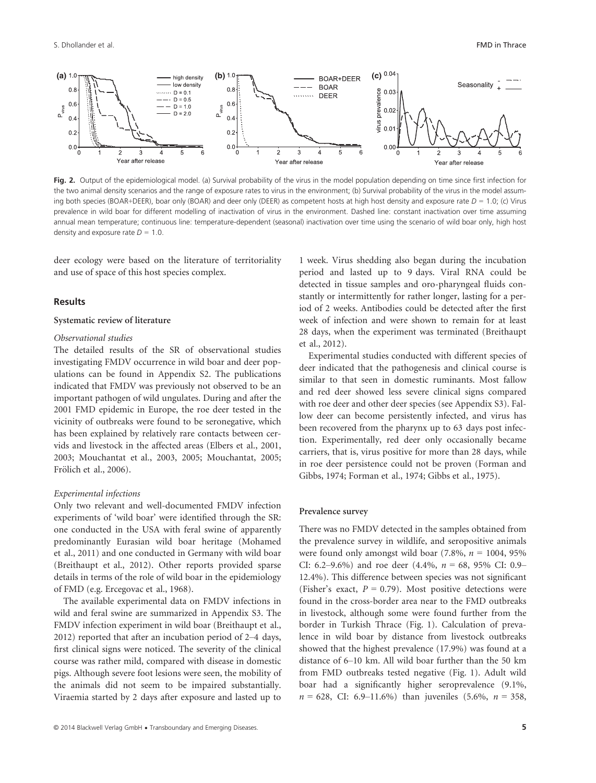

Fig. 2. Output of the epidemiological model. (a) Survival probability of the virus in the model population depending on time since first infection for the two animal density scenarios and the range of exposure rates to virus in the environment; (b) Survival probability of the virus in the model assuming both species (BOAR+DEER), boar only (BOAR) and deer only (DEER) as competent hosts at high host density and exposure rate  $D = 1.0$ ; (c) Virus prevalence in wild boar for different modelling of inactivation of virus in the environment. Dashed line: constant inactivation over time assuming annual mean temperature; continuous line: temperature-dependent (seasonal) inactivation over time using the scenario of wild boar only, high host density and exposure rate  $D = 1.0$ .

deer ecology were based on the literature of territoriality and use of space of this host species complex.

#### **Results**

#### Systematic review of literature

### Observational studies

The detailed results of the SR of observational studies investigating FMDV occurrence in wild boar and deer populations can be found in Appendix S2. The publications indicated that FMDV was previously not observed to be an important pathogen of wild ungulates. During and after the 2001 FMD epidemic in Europe, the roe deer tested in the vicinity of outbreaks were found to be seronegative, which has been explained by relatively rare contacts between cervids and livestock in the affected areas (Elbers et al., 2001, 2003; Mouchantat et al., 2003, 2005; Mouchantat, 2005; Frölich et al., 2006).

#### Experimental infections

Only two relevant and well-documented FMDV infection experiments of 'wild boar' were identified through the SR: one conducted in the USA with feral swine of apparently predominantly Eurasian wild boar heritage (Mohamed et al., 2011) and one conducted in Germany with wild boar (Breithaupt et al., 2012). Other reports provided sparse details in terms of the role of wild boar in the epidemiology of FMD (e.g. Ercegovac et al., 1968).

The available experimental data on FMDV infections in wild and feral swine are summarized in Appendix S3. The FMDV infection experiment in wild boar (Breithaupt et al., 2012) reported that after an incubation period of 2–4 days, first clinical signs were noticed. The severity of the clinical course was rather mild, compared with disease in domestic pigs. Although severe foot lesions were seen, the mobility of the animals did not seem to be impaired substantially. Viraemia started by 2 days after exposure and lasted up to

1 week. Virus shedding also began during the incubation period and lasted up to 9 days. Viral RNA could be detected in tissue samples and oro-pharyngeal fluids constantly or intermittently for rather longer, lasting for a period of 2 weeks. Antibodies could be detected after the first week of infection and were shown to remain for at least 28 days, when the experiment was terminated (Breithaupt et al., 2012).

Experimental studies conducted with different species of deer indicated that the pathogenesis and clinical course is similar to that seen in domestic ruminants. Most fallow and red deer showed less severe clinical signs compared with roe deer and other deer species (see Appendix S3). Fallow deer can become persistently infected, and virus has been recovered from the pharynx up to 63 days post infection. Experimentally, red deer only occasionally became carriers, that is, virus positive for more than 28 days, while in roe deer persistence could not be proven (Forman and Gibbs, 1974; Forman et al., 1974; Gibbs et al., 1975).

## Prevalence survey

There was no FMDV detected in the samples obtained from the prevalence survey in wildlife, and seropositive animals were found only amongst wild boar  $(7.8\%, n = 1004, 95\%)$ CI: 6.2–9.6%) and roe deer  $(4.4\%, n = 68, 95\% \text{ CI: } 0.9$ 12.4%). This difference between species was not significant (Fisher's exact,  $P = 0.79$ ). Most positive detections were found in the cross-border area near to the FMD outbreaks in livestock, although some were found further from the border in Turkish Thrace (Fig. 1). Calculation of prevalence in wild boar by distance from livestock outbreaks showed that the highest prevalence (17.9%) was found at a distance of 6–10 km. All wild boar further than the 50 km from FMD outbreaks tested negative (Fig. 1). Adult wild boar had a significantly higher seroprevalence (9.1%,  $n = 628$ , CI: 6.9–11.6%) than juveniles (5.6%,  $n = 358$ ,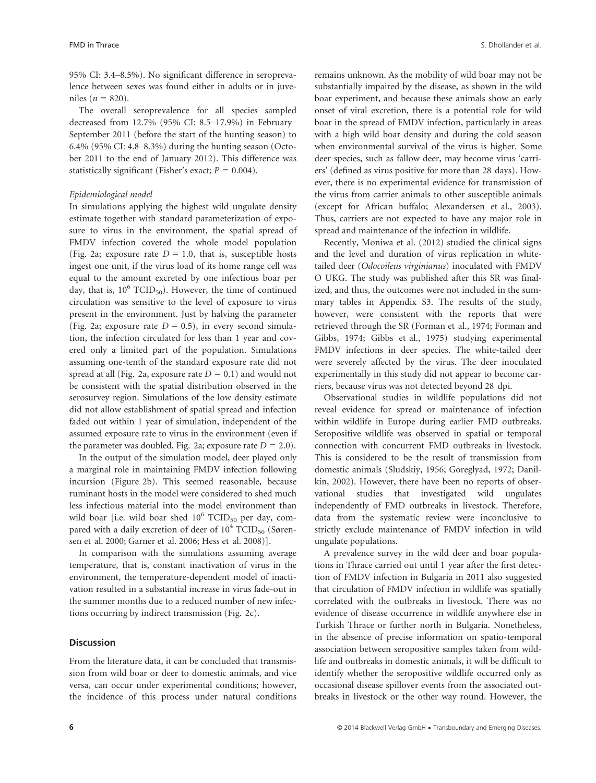95% CI: 3.4–8.5%). No significant difference in seroprevalence between sexes was found either in adults or in juveniles ( $n = 820$ ).

The overall seroprevalence for all species sampled decreased from 12.7% (95% CI: 8.5–17.9%) in February– September 2011 (before the start of the hunting season) to 6.4% (95% CI: 4.8–8.3%) during the hunting season (October 2011 to the end of January 2012). This difference was statistically significant (Fisher's exact;  $P = 0.004$ ).

#### Epidemiological model

In simulations applying the highest wild ungulate density estimate together with standard parameterization of exposure to virus in the environment, the spatial spread of FMDV infection covered the whole model population (Fig. 2a; exposure rate  $D = 1.0$ , that is, susceptible hosts ingest one unit, if the virus load of its home range cell was equal to the amount excreted by one infectious boar per day, that is,  $10^6$  TCID<sub>50</sub>). However, the time of continued circulation was sensitive to the level of exposure to virus present in the environment. Just by halving the parameter (Fig. 2a; exposure rate  $D = 0.5$ ), in every second simulation, the infection circulated for less than 1 year and covered only a limited part of the population. Simulations assuming one-tenth of the standard exposure rate did not spread at all (Fig. 2a, exposure rate  $D = 0.1$ ) and would not be consistent with the spatial distribution observed in the serosurvey region. Simulations of the low density estimate did not allow establishment of spatial spread and infection faded out within 1 year of simulation, independent of the assumed exposure rate to virus in the environment (even if the parameter was doubled, Fig. 2a; exposure rate  $D = 2.0$ ).

In the output of the simulation model, deer played only a marginal role in maintaining FMDV infection following incursion (Figure 2b). This seemed reasonable, because ruminant hosts in the model were considered to shed much less infectious material into the model environment than wild boar [i.e. wild boar shed  $10^6$  TCID<sub>50</sub> per day, compared with a daily excretion of deer of  $10^4$  TCID<sub>50</sub> (Sørensen et al. 2000; Garner et al. 2006; Hess et al. 2008)].

In comparison with the simulations assuming average temperature, that is, constant inactivation of virus in the environment, the temperature-dependent model of inactivation resulted in a substantial increase in virus fade-out in the summer months due to a reduced number of new infections occurring by indirect transmission (Fig. 2c).

## **Discussion**

From the literature data, it can be concluded that transmission from wild boar or deer to domestic animals, and vice versa, can occur under experimental conditions; however, the incidence of this process under natural conditions

remains unknown. As the mobility of wild boar may not be substantially impaired by the disease, as shown in the wild boar experiment, and because these animals show an early onset of viral excretion, there is a potential role for wild boar in the spread of FMDV infection, particularly in areas with a high wild boar density and during the cold season when environmental survival of the virus is higher. Some deer species, such as fallow deer, may become virus 'carriers' (defined as virus positive for more than 28 days). However, there is no experimental evidence for transmission of the virus from carrier animals to other susceptible animals (except for African buffalo; Alexandersen et al., 2003). Thus, carriers are not expected to have any major role in spread and maintenance of the infection in wildlife.

Recently, Moniwa et al. (2012) studied the clinical signs and the level and duration of virus replication in whitetailed deer (Odocoileus virginianus) inoculated with FMDV O UKG. The study was published after this SR was finalized, and thus, the outcomes were not included in the summary tables in Appendix S3. The results of the study, however, were consistent with the reports that were retrieved through the SR (Forman et al., 1974; Forman and Gibbs, 1974; Gibbs et al., 1975) studying experimental FMDV infections in deer species. The white-tailed deer were severely affected by the virus. The deer inoculated experimentally in this study did not appear to become carriers, because virus was not detected beyond 28 dpi.

Observational studies in wildlife populations did not reveal evidence for spread or maintenance of infection within wildlife in Europe during earlier FMD outbreaks. Seropositive wildlife was observed in spatial or temporal connection with concurrent FMD outbreaks in livestock. This is considered to be the result of transmission from domestic animals (Sludskiy, 1956; Goreglyad, 1972; Danilkin, 2002). However, there have been no reports of observational studies that investigated wild ungulates independently of FMD outbreaks in livestock. Therefore, data from the systematic review were inconclusive to strictly exclude maintenance of FMDV infection in wild ungulate populations.

A prevalence survey in the wild deer and boar populations in Thrace carried out until 1 year after the first detection of FMDV infection in Bulgaria in 2011 also suggested that circulation of FMDV infection in wildlife was spatially correlated with the outbreaks in livestock. There was no evidence of disease occurrence in wildlife anywhere else in Turkish Thrace or further north in Bulgaria. Nonetheless, in the absence of precise information on spatio-temporal association between seropositive samples taken from wildlife and outbreaks in domestic animals, it will be difficult to identify whether the seropositive wildlife occurred only as occasional disease spillover events from the associated outbreaks in livestock or the other way round. However, the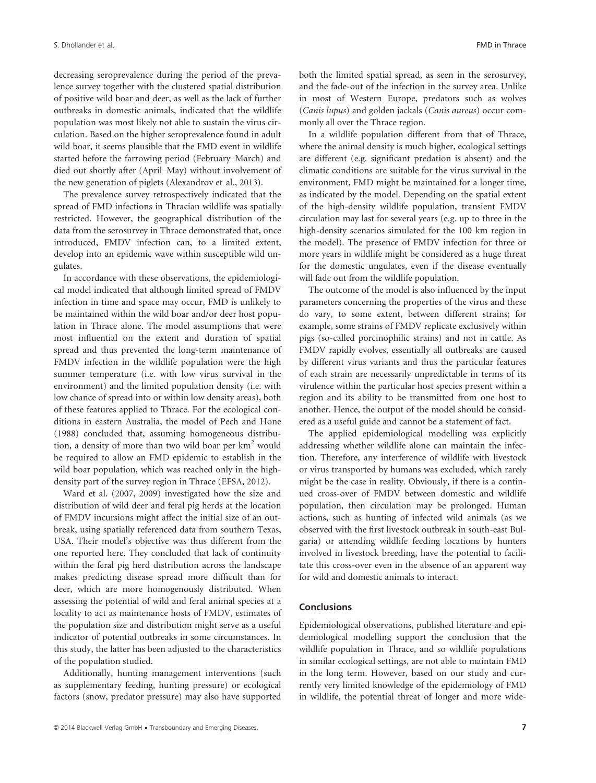decreasing seroprevalence during the period of the prevalence survey together with the clustered spatial distribution of positive wild boar and deer, as well as the lack of further outbreaks in domestic animals, indicated that the wildlife population was most likely not able to sustain the virus circulation. Based on the higher seroprevalence found in adult wild boar, it seems plausible that the FMD event in wildlife started before the farrowing period (February–March) and died out shortly after (April–May) without involvement of the new generation of piglets (Alexandrov et al., 2013).

The prevalence survey retrospectively indicated that the spread of FMD infections in Thracian wildlife was spatially restricted. However, the geographical distribution of the data from the serosurvey in Thrace demonstrated that, once introduced, FMDV infection can, to a limited extent, develop into an epidemic wave within susceptible wild ungulates.

In accordance with these observations, the epidemiological model indicated that although limited spread of FMDV infection in time and space may occur, FMD is unlikely to be maintained within the wild boar and/or deer host population in Thrace alone. The model assumptions that were most influential on the extent and duration of spatial spread and thus prevented the long-term maintenance of FMDV infection in the wildlife population were the high summer temperature (i.e. with low virus survival in the environment) and the limited population density (i.e. with low chance of spread into or within low density areas), both of these features applied to Thrace. For the ecological conditions in eastern Australia, the model of Pech and Hone (1988) concluded that, assuming homogeneous distribution, a density of more than two wild boar per  $km<sup>2</sup>$  would be required to allow an FMD epidemic to establish in the wild boar population, which was reached only in the highdensity part of the survey region in Thrace (EFSA, 2012).

Ward et al. (2007, 2009) investigated how the size and distribution of wild deer and feral pig herds at the location of FMDV incursions might affect the initial size of an outbreak, using spatially referenced data from southern Texas, USA. Their model's objective was thus different from the one reported here. They concluded that lack of continuity within the feral pig herd distribution across the landscape makes predicting disease spread more difficult than for deer, which are more homogenously distributed. When assessing the potential of wild and feral animal species at a locality to act as maintenance hosts of FMDV, estimates of the population size and distribution might serve as a useful indicator of potential outbreaks in some circumstances. In this study, the latter has been adjusted to the characteristics of the population studied.

Additionally, hunting management interventions (such as supplementary feeding, hunting pressure) or ecological factors (snow, predator pressure) may also have supported both the limited spatial spread, as seen in the serosurvey, and the fade-out of the infection in the survey area. Unlike in most of Western Europe, predators such as wolves (Canis lupus) and golden jackals (Canis aureus) occur commonly all over the Thrace region.

In a wildlife population different from that of Thrace, where the animal density is much higher, ecological settings are different (e.g. significant predation is absent) and the climatic conditions are suitable for the virus survival in the environment, FMD might be maintained for a longer time, as indicated by the model. Depending on the spatial extent of the high-density wildlife population, transient FMDV circulation may last for several years (e.g. up to three in the high-density scenarios simulated for the 100 km region in the model). The presence of FMDV infection for three or more years in wildlife might be considered as a huge threat for the domestic ungulates, even if the disease eventually will fade out from the wildlife population.

The outcome of the model is also influenced by the input parameters concerning the properties of the virus and these do vary, to some extent, between different strains; for example, some strains of FMDV replicate exclusively within pigs (so-called porcinophilic strains) and not in cattle. As FMDV rapidly evolves, essentially all outbreaks are caused by different virus variants and thus the particular features of each strain are necessarily unpredictable in terms of its virulence within the particular host species present within a region and its ability to be transmitted from one host to another. Hence, the output of the model should be considered as a useful guide and cannot be a statement of fact.

The applied epidemiological modelling was explicitly addressing whether wildlife alone can maintain the infection. Therefore, any interference of wildlife with livestock or virus transported by humans was excluded, which rarely might be the case in reality. Obviously, if there is a continued cross-over of FMDV between domestic and wildlife population, then circulation may be prolonged. Human actions, such as hunting of infected wild animals (as we observed with the first livestock outbreak in south-east Bulgaria) or attending wildlife feeding locations by hunters involved in livestock breeding, have the potential to facilitate this cross-over even in the absence of an apparent way for wild and domestic animals to interact.

#### **Conclusions**

Epidemiological observations, published literature and epidemiological modelling support the conclusion that the wildlife population in Thrace, and so wildlife populations in similar ecological settings, are not able to maintain FMD in the long term. However, based on our study and currently very limited knowledge of the epidemiology of FMD in wildlife, the potential threat of longer and more wide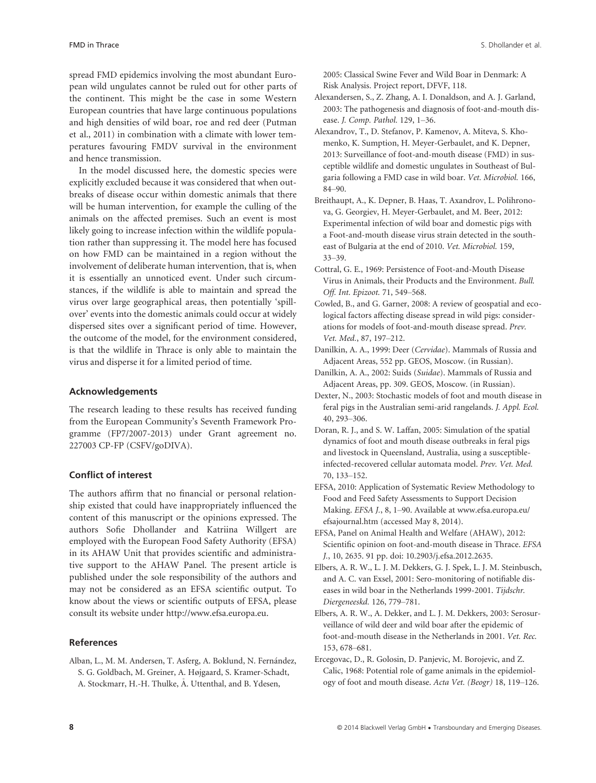spread FMD epidemics involving the most abundant European wild ungulates cannot be ruled out for other parts of the continent. This might be the case in some Western European countries that have large continuous populations and high densities of wild boar, roe and red deer (Putman et al., 2011) in combination with a climate with lower temperatures favouring FMDV survival in the environment and hence transmission.

In the model discussed here, the domestic species were explicitly excluded because it was considered that when outbreaks of disease occur within domestic animals that there will be human intervention, for example the culling of the animals on the affected premises. Such an event is most likely going to increase infection within the wildlife population rather than suppressing it. The model here has focused on how FMD can be maintained in a region without the involvement of deliberate human intervention, that is, when it is essentially an unnoticed event. Under such circumstances, if the wildlife is able to maintain and spread the virus over large geographical areas, then potentially 'spillover' events into the domestic animals could occur at widely dispersed sites over a significant period of time. However, the outcome of the model, for the environment considered, is that the wildlife in Thrace is only able to maintain the virus and disperse it for a limited period of time.

### Acknowledgements

The research leading to these results has received funding from the European Community's Seventh Framework Programme (FP7/2007-2013) under Grant agreement no. 227003 CP-FP (CSFV/goDIVA).

## Conflict of interest

The authors affirm that no financial or personal relationship existed that could have inappropriately influenced the content of this manuscript or the opinions expressed. The authors Sofie Dhollander and Katriina Willgert are employed with the European Food Safety Authority (EFSA) in its AHAW Unit that provides scientific and administrative support to the AHAW Panel. The present article is published under the sole responsibility of the authors and may not be considered as an EFSA scientific output. To know about the views or scientific outputs of EFSA, please consult its website under http://www.efsa.europa.eu.

### References

Alban, L., M. M. Andersen, T. Asferg, A. Boklund, N. Fernández, S. G. Goldbach, M. Greiner, A. Højgaard, S. Kramer-Schadt, A. Stockmarr, H.-H. Thulke, A. Uttenthal, and B. Ydesen,

2005: Classical Swine Fever and Wild Boar in Denmark: A Risk Analysis. Project report, DFVF, 118.

- Alexandersen, S., Z. Zhang, A. I. Donaldson, and A. J. Garland, 2003: The pathogenesis and diagnosis of foot-and-mouth disease. J. Comp. Pathol. 129, 1–36.
- Alexandrov, T., D. Stefanov, P. Kamenov, A. Miteva, S. Khomenko, K. Sumption, H. Meyer-Gerbaulet, and K. Depner, 2013: Surveillance of foot-and-mouth disease (FMD) in susceptible wildlife and domestic ungulates in Southeast of Bulgaria following a FMD case in wild boar. Vet. Microbiol. 166, 84–90.
- Breithaupt, A., K. Depner, B. Haas, T. Axandrov, L. Polihronova, G. Georgiev, H. Meyer-Gerbaulet, and M. Beer, 2012: Experimental infection of wild boar and domestic pigs with a Foot-and-mouth disease virus strain detected in the southeast of Bulgaria at the end of 2010. Vet. Microbiol. 159, 33–39.
- Cottral, G. E., 1969: Persistence of Foot-and-Mouth Disease Virus in Animals, their Products and the Environment. Bull. Off. Int. Epizoot. 71, 549–568.
- Cowled, B., and G. Garner, 2008: A review of geospatial and ecological factors affecting disease spread in wild pigs: considerations for models of foot-and-mouth disease spread. Prev. Vet. Med., 87, 197–212.
- Danilkin, A. A., 1999: Deer (Cervidae). Mammals of Russia and Adjacent Areas, 552 pp. GEOS, Moscow. (in Russian).
- Danilkin, A. A., 2002: Suids (Suidae). Mammals of Russia and Adjacent Areas, pp. 309. GEOS, Moscow. (in Russian).
- Dexter, N., 2003: Stochastic models of foot and mouth disease in feral pigs in the Australian semi-arid rangelands. J. Appl. Ecol. 40, 293–306.
- Doran, R. J., and S. W. Laffan, 2005: Simulation of the spatial dynamics of foot and mouth disease outbreaks in feral pigs and livestock in Queensland, Australia, using a susceptibleinfected-recovered cellular automata model. Prev. Vet. Med. 70, 133–152.
- EFSA, 2010: Application of Systematic Review Methodology to Food and Feed Safety Assessments to Support Decision Making. EFSA J., 8, 1–90. Available at www.efsa.europa.eu/ efsajournal.htm (accessed May 8, 2014).
- EFSA, Panel on Animal Health and Welfare (AHAW), 2012: Scientific opinion on foot-and-mouth disease in Thrace. EFSA J., 10, 2635. 91 pp. doi: 10.2903/j.efsa.2012.2635.
- Elbers, A. R. W., L. J. M. Dekkers, G. J. Spek, L. J. M. Steinbusch, and A. C. van Exsel, 2001: Sero-monitoring of notifiable diseases in wild boar in the Netherlands 1999-2001. Tijdschr. Diergeneeskd. 126, 779–781.
- Elbers, A. R. W., A. Dekker, and L. J. M. Dekkers, 2003: Serosurveillance of wild deer and wild boar after the epidemic of foot-and-mouth disease in the Netherlands in 2001. Vet. Rec. 153, 678–681.
- Ercegovac, D., R. Golosin, D. Panjevic, M. Borojevic, and Z. Calic, 1968: Potential role of game animals in the epidemiology of foot and mouth disease. Acta Vet. (Beogr) 18, 119–126.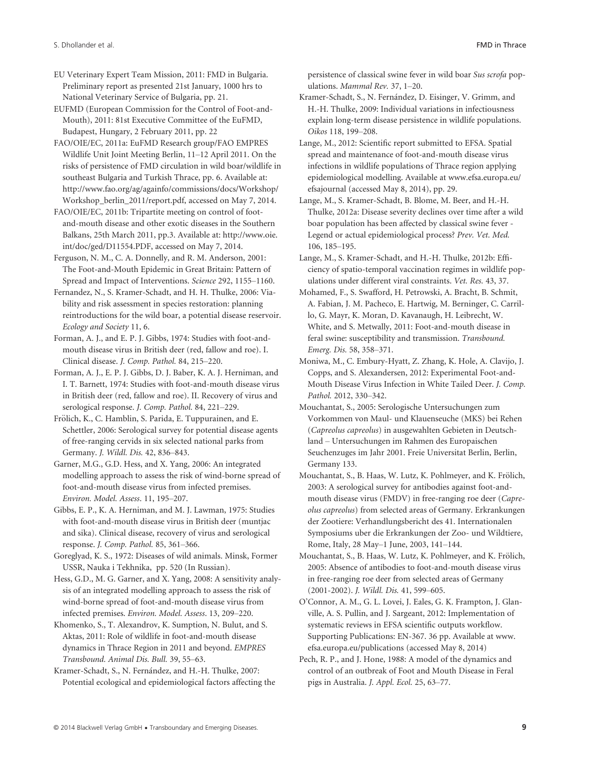EU Veterinary Expert Team Mission, 2011: FMD in Bulgaria. Preliminary report as presented 21st January, 1000 hrs to National Veterinary Service of Bulgaria, pp. 21.

EUFMD (European Commission for the Control of Foot-and-Mouth), 2011: 81st Executive Committee of the EuFMD, Budapest, Hungary, 2 February 2011, pp. 22

FAO/OIE/EC, 2011a: EuFMD Research group/FAO EMPRES Wildlife Unit Joint Meeting Berlin, 11–12 April 2011. On the risks of persistence of FMD circulation in wild boar/wildlife in southeast Bulgaria and Turkish Thrace, pp. 6. Available at: http://www.fao.org/ag/againfo/commissions/docs/Workshop/ Workshop\_berlin\_2011/report.pdf, accessed on May 7, 2014.

FAO/OIE/EC, 2011b: Tripartite meeting on control of footand-mouth disease and other exotic diseases in the Southern Balkans, 25th March 2011, pp.3. Available at: http://www.oie. int/doc/ged/D11554.PDF, accessed on May 7, 2014.

Ferguson, N. M., C. A. Donnelly, and R. M. Anderson, 2001: The Foot-and-Mouth Epidemic in Great Britain: Pattern of Spread and Impact of Interventions. Science 292, 1155–1160.

Fernandez, N., S. Kramer-Schadt, and H. H. Thulke, 2006: Viability and risk assessment in species restoration: planning reintroductions for the wild boar, a potential disease reservoir. Ecology and Society 11, 6.

Forman, A. J., and E. P. J. Gibbs, 1974: Studies with foot-andmouth disease virus in British deer (red, fallow and roe). I. Clinical disease. J. Comp. Pathol. 84, 215–220.

Forman, A. J., E. P. J. Gibbs, D. J. Baber, K. A. J. Herniman, and I. T. Barnett, 1974: Studies with foot-and-mouth disease virus in British deer (red, fallow and roe). II. Recovery of virus and serological response. J. Comp. Pathol. 84, 221–229.

Frölich, K., C. Hamblin, S. Parida, E. Tuppurainen, and E. Schettler, 2006: Serological survey for potential disease agents of free-ranging cervids in six selected national parks from Germany. J. Wildl. Dis. 42, 836–843.

Garner, M.G., G.D. Hess, and X. Yang, 2006: An integrated modelling approach to assess the risk of wind-borne spread of foot-and-mouth disease virus from infected premises. Environ. Model. Assess. 11, 195–207.

Gibbs, E. P., K. A. Herniman, and M. J. Lawman, 1975: Studies with foot-and-mouth disease virus in British deer (muntjac and sika). Clinical disease, recovery of virus and serological response. J. Comp. Pathol. 85, 361–366.

Goreglyad, K. S., 1972: Diseases of wild animals. Minsk, Former USSR, Nauka i Tekhnika, pp. 520 (In Russian).

Hess, G.D., M. G. Garner, and X. Yang, 2008: A sensitivity analysis of an integrated modelling approach to assess the risk of wind-borne spread of foot-and-mouth disease virus from infected premises. Environ. Model. Assess. 13, 209–220.

Khomenko, S., T. Alexandrov, K. Sumption, N. Bulut, and S. Aktas, 2011: Role of wildlife in foot-and-mouth disease dynamics in Thrace Region in 2011 and beyond. EMPRES Transbound. Animal Dis. Bull. 39, 55–63.

Kramer-Schadt, S., N. Fernández, and H.-H. Thulke, 2007: Potential ecological and epidemiological factors affecting the persistence of classical swine fever in wild boar Sus scrofa populations. Mammal Rev. 37, 1–20.

Kramer-Schadt, S., N. Fernández, D. Eisinger, V. Grimm, and H.-H. Thulke, 2009: Individual variations in infectiousness explain long-term disease persistence in wildlife populations. Oikos 118, 199–208.

Lange, M., 2012: Scientific report submitted to EFSA. Spatial spread and maintenance of foot-and-mouth disease virus infections in wildlife populations of Thrace region applying epidemiological modelling. Available at www.efsa.europa.eu/ efsajournal (accessed May 8, 2014), pp. 29.

Lange, M., S. Kramer-Schadt, B. Blome, M. Beer, and H.-H. Thulke, 2012a: Disease severity declines over time after a wild boar population has been affected by classical swine fever - Legend or actual epidemiological process? Prev. Vet. Med. 106, 185–195.

Lange, M., S. Kramer-Schadt, and H.-H. Thulke, 2012b: Efficiency of spatio-temporal vaccination regimes in wildlife populations under different viral constraints. Vet. Res. 43, 37.

Mohamed, F., S. Swafford, H. Petrowski, A. Bracht, B. Schmit, A. Fabian, J. M. Pacheco, E. Hartwig, M. Berninger, C. Carrillo, G. Mayr, K. Moran, D. Kavanaugh, H. Leibrecht, W. White, and S. Metwally, 2011: Foot-and-mouth disease in feral swine: susceptibility and transmission. Transbound. Emerg. Dis. 58, 358–371.

Moniwa, M., C. Embury-Hyatt, Z. Zhang, K. Hole, A. Clavijo, J. Copps, and S. Alexandersen, 2012: Experimental Foot-and-Mouth Disease Virus Infection in White Tailed Deer. J. Comp. Pathol. 2012, 330–342.

Mouchantat, S., 2005: Serologische Untersuchungen zum Vorkommen von Maul- und Klauenseuche (MKS) bei Rehen (Capreolus capreolus) in ausgewahlten Gebieten in Deutschland – Untersuchungen im Rahmen des Europaischen Seuchenzuges im Jahr 2001. Freie Universitat Berlin, Berlin, Germany 133.

Mouchantat, S., B. Haas, W. Lutz, K. Pohlmeyer, and K. Frölich, 2003: A serological survey for antibodies against foot-andmouth disease virus (FMDV) in free-ranging roe deer (Capreolus capreolus) from selected areas of Germany. Erkrankungen der Zootiere: Verhandlungsbericht des 41. Internationalen Symposiums uber die Erkrankungen der Zoo- und Wildtiere, Rome, Italy, 28 May–1 June, 2003, 141–144.

Mouchantat, S., B. Haas, W. Lutz, K. Pohlmeyer, and K. Frölich, 2005: Absence of antibodies to foot-and-mouth disease virus in free-ranging roe deer from selected areas of Germany (2001-2002). J. Wildl. Dis. 41, 599–605.

O'Connor, A. M., G. L. Lovei, J. Eales, G. K. Frampton, J. Glanville, A. S. Pullin, and J. Sargeant, 2012: Implementation of systematic reviews in EFSA scientific outputs workflow. Supporting Publications: EN-367. 36 pp. Available at www. efsa.europa.eu/publications (accessed May 8, 2014)

Pech, R. P., and J. Hone, 1988: A model of the dynamics and control of an outbreak of Foot and Mouth Disease in Feral pigs in Australia. J. Appl. Ecol. 25, 63–77.